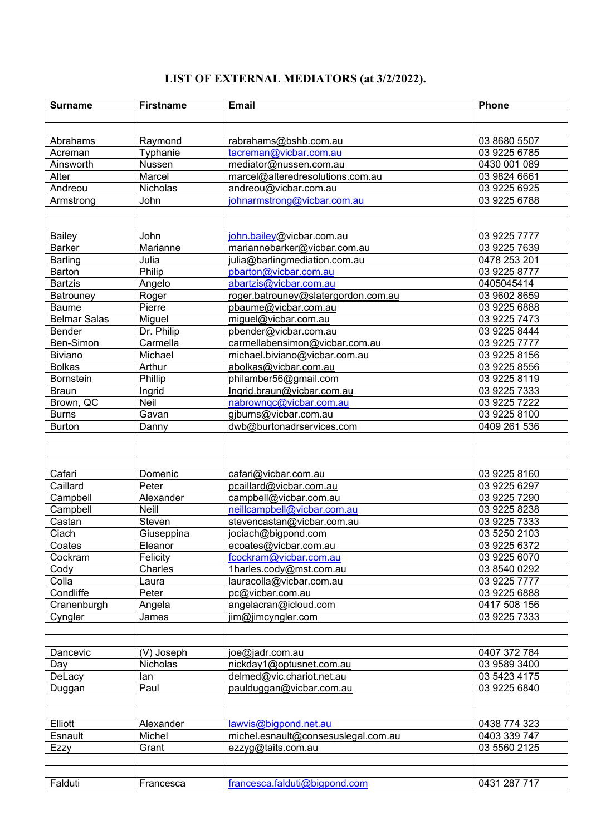## **LIST OF EXTERNAL MEDIATORS (at 3/2/2022).**

| <b>Surname</b>            | <b>Firstname</b> | <b>Email</b>                                                  | Phone                      |
|---------------------------|------------------|---------------------------------------------------------------|----------------------------|
|                           |                  |                                                               |                            |
|                           |                  |                                                               |                            |
| Abrahams                  | Raymond          | rabrahams@bshb.com.au                                         | 03 8680 5507               |
| Acreman                   | Typhanie         | tacreman@vicbar.com.au                                        | 03 9225 6785               |
| Ainsworth                 | Nussen           | mediator@nussen.com.au                                        | 0430 001 089               |
| Alter                     | Marcel           | marcel@alteredresolutions.com.au                              | 03 9824 6661               |
| Andreou                   | Nicholas         | andreou@vicbar.com.au                                         | 03 9225 6925               |
| Armstrong                 | John             | johnarmstrong@vicbar.com.au                                   | 03 9225 6788               |
|                           |                  |                                                               |                            |
|                           |                  |                                                               |                            |
| <b>Bailey</b>             | John             | john.bailey@vicbar.com.au                                     | 03 9225 7777               |
| <b>Barker</b>             | Marianne         | mariannebarker@vicbar.com.au                                  | 03 9225 7639               |
| <b>Barling</b>            | Julia            | julia@barlingmediation.com.au                                 | 0478 253 201               |
| Barton<br><b>Bartzis</b>  | Philip           | pbarton@vicbar.com.au                                         | 03 9225 8777<br>0405045414 |
|                           | Angelo           | abartzis@vicbar.com.au<br>roger.batrouney@slatergordon.com.au | 03 9602 8659               |
| Batrouney<br><b>Baume</b> | Roger<br>Pierre  | pbaume@vicbar.com.au                                          | 03 9225 6888               |
| <b>Belmar Salas</b>       | Miguel           | miguel@vicbar.com.au                                          | 03 9225 7473               |
| <b>Bender</b>             | Dr. Philip       | pbender@vicbar.com.au                                         | 03 9225 8444               |
| Ben-Simon                 | Carmella         | carmellabensimon@vicbar.com.au                                | 03 9225 7777               |
| Biviano                   | Michael          | michael.biviano@vicbar.com.au                                 | 03 9225 8156               |
| <b>Bolkas</b>             | Arthur           | abolkas@vicbar.com.au                                         | 03 9225 8556               |
| <b>Bornstein</b>          | Phillip          | philamber56@gmail.com                                         | 03 9225 8119               |
| <b>Braun</b>              | Ingrid           | Ingrid.braun@vicbar.com.au                                    | 03 9225 7333               |
| Brown, QC                 | <b>Neil</b>      | nabrownqc@vicbar.com.au                                       | 03 9225 7222               |
| <b>Burns</b>              | Gavan            | gjburns@vicbar.com.au                                         | 03 9225 8100               |
| <b>Burton</b>             | Danny            | dwb@burtonadrservices.com                                     | 0409 261 536               |
|                           |                  |                                                               |                            |
|                           |                  |                                                               |                            |
|                           |                  |                                                               |                            |
| Cafari                    | Domenic          | cafari@vicbar.com.au                                          | 03 9225 8160               |
| Caillard                  | Peter            | pcaillard@vicbar.com.au                                       | 03 9225 6297               |
| Campbell                  | Alexander        | campbell@vicbar.com.au                                        | 03 9225 7290               |
| Campbell                  | <b>Neill</b>     | neillcampbell@vicbar.com.au                                   | 03 9225 8238               |
| Castan                    | Steven           | stevencastan@vicbar.com.au                                    | 03 9225 7333               |
| Ciach                     | Giuseppina       | jociach@bigpond.com                                           | 03 5250 2103               |
| Coates                    | Eleanor          | ecoates@vicbar.com.au                                         | 03 9225 6372               |
| Cockram                   | Felicity         | fcockram@vicbar.com.au                                        | 03 9225 6070               |
| Cody                      | Charles          | 1harles.cody@mst.com.au                                       | 03 8540 0292               |
| Colla                     | Laura            | lauracolla@vicbar.com.au                                      | 03 9225 7777               |
| Condliffe                 | Peter            | pc@vicbar.com.au                                              | 03 9225 6888               |
| Cranenburgh               | Angela           | angelacran@icloud.com                                         | 0417 508 156               |
| Cyngler                   | James            | jim@jimcyngler.com                                            | 03 9225 7333               |
|                           |                  |                                                               |                            |
|                           |                  |                                                               |                            |
| Dancevic                  | (V) Joseph       | joe@jadr.com.au                                               | 0407 372 784               |
| Day                       | Nicholas         | nickday1@optusnet.com.au                                      | 03 9589 3400               |
| DeLacy                    | lan              | delmed@vic.chariot.net.au                                     | 03 5423 4175               |
| Duggan                    | Paul             | paulduggan@vicbar.com.au                                      | 03 9225 6840               |
|                           |                  |                                                               |                            |
| Elliott                   | Alexander        | lawvis@bigpond.net.au                                         | 0438 774 323               |
| Esnault                   | Michel           | michel.esnault@consesuslegal.com.au                           | 0403 339 747               |
| Ezzy                      | Grant            | ezzyg@taits.com.au                                            | 03 5560 2125               |
|                           |                  |                                                               |                            |
|                           |                  |                                                               |                            |
| Falduti                   | Francesca        | francesca.falduti@bigpond.com                                 | 0431 287 717               |
|                           |                  |                                                               |                            |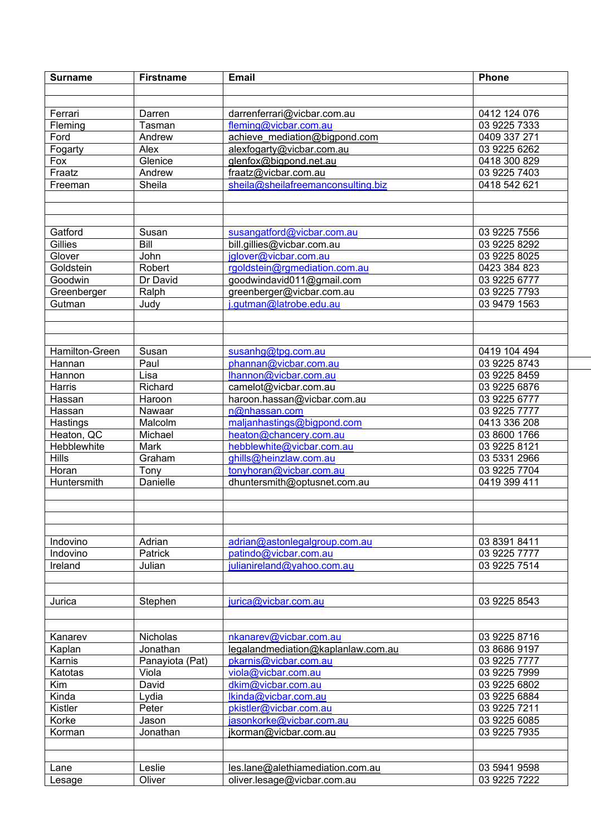| <b>Surname</b> | <b>Firstname</b> | <b>Email</b>                       | Phone        |
|----------------|------------------|------------------------------------|--------------|
|                |                  |                                    |              |
|                |                  |                                    |              |
| Ferrari        | Darren           | darrenferrari@vicbar.com.au        | 0412 124 076 |
| Fleming        | Tasman           | fleming@vicbar.com.au              | 03 9225 7333 |
| Ford           | Andrew           | achieve mediation@bigpond.com      | 0409 337 271 |
| Fogarty        | Alex             | alexfogarty@vicbar.com.au          | 03 9225 6262 |
| Fox            | Glenice          | glenfox@bigpond.net.au             | 0418 300 829 |
| Fraatz         | Andrew           | fraatz@vicbar.com.au               | 03 9225 7403 |
| Freeman        | Sheila           | sheila@sheilafreemanconsulting.biz | 0418 542 621 |
|                |                  |                                    |              |
|                |                  |                                    |              |
|                |                  |                                    |              |
| Gatford        | Susan            | susangatford@vicbar.com.au         | 03 9225 7556 |
| Gillies        | Bill             | bill.gillies@vicbar.com.au         | 03 9225 8292 |
| Glover         | John             | jglover@vicbar.com.au              | 03 9225 8025 |
| Goldstein      | Robert           | rgoldstein@rgmediation.com.au      | 0423 384 823 |
| Goodwin        | Dr David         | goodwindavid011@gmail.com          | 03 9225 6777 |
| Greenberger    | Ralph            | greenberger@vicbar.com.au          | 03 9225 7793 |
| Gutman         | Judy             | j.gutman@latrobe.edu.au            | 03 9479 1563 |
|                |                  |                                    |              |
|                |                  |                                    |              |
|                |                  |                                    |              |
| Hamilton-Green | Susan            | susanhg@tpg.com.au                 | 0419 104 494 |
| Hannan         | Paul             | phannan@vicbar.com.au              | 03 9225 8743 |
| Hannon         | Lisa             | lhannon@vicbar.com.au              | 03 9225 8459 |
| Harris         | Richard          | camelot@vicbar.com.au              | 03 9225 6876 |
| Hassan         | Haroon           | haroon.hassan@vicbar.com.au        | 03 9225 6777 |
| Hassan         | Nawaar           | n@nhassan.com                      | 03 9225 7777 |
| Hastings       | Malcolm          | maljanhastings@bigpond.com         | 0413 336 208 |
| Heaton, QC     | Michael          | heaton@chancery.com.au             | 03 8600 1766 |
| Hebblewhite    | Mark             | hebblewhite@vicbar.com.au          | 03 9225 8121 |
| <b>Hills</b>   | Graham           | ghills@heinzlaw.com.au             | 03 5331 2966 |
| Horan          | Tony             | tonyhoran@vicbar.com.au            | 03 9225 7704 |
| Huntersmith    | Danielle         | dhuntersmith@optusnet.com.au       | 0419 399 411 |
|                |                  |                                    |              |
|                |                  |                                    |              |
|                |                  |                                    |              |
|                |                  |                                    |              |
| Indovino       | Adrian           | adrian@astonlegalgroup.com.au      | 03 8391 8411 |
| Indovino       | Patrick          | patindo@vicbar.com.au              | 03 9225 7777 |
| Ireland        | Julian           | julianireland@yahoo.com.au         | 03 9225 7514 |
|                |                  |                                    |              |
|                |                  |                                    |              |
| Jurica         | Stephen          | jurica@vicbar.com.au               | 03 9225 8543 |
|                |                  |                                    |              |
|                |                  |                                    |              |
| Kanarev        | <b>Nicholas</b>  | nkanarev@vicbar.com.au             | 03 9225 8716 |
| Kaplan         | Jonathan         | legalandmediation@kaplanlaw.com.au | 03 8686 9197 |
| Karnis         | Panayiota (Pat)  | pkarnis@vicbar.com.au              | 03 9225 7777 |
| Katotas        | Viola            | viola@vicbar.com.au                | 03 9225 7999 |
| Kim            | David            | dkim@vicbar.com.au                 | 03 9225 6802 |
| Kinda          | Lydia            | Ikinda@vicbar.com.au               | 03 9225 6884 |
| Kistler        | Peter            | pkistler@vicbar.com.au             | 03 9225 7211 |
| Korke          | Jason            | jasonkorke@vicbar.com.au           | 03 9225 6085 |
| Korman         | Jonathan         | jkorman@vicbar.com.au              | 03 9225 7935 |
|                |                  |                                    |              |
|                |                  |                                    |              |
| Lane           | Leslie           | les.lane@alethiamediation.com.au   | 03 5941 9598 |
| Lesage         | Oliver           | oliver.lesage@vicbar.com.au        | 03 9225 7222 |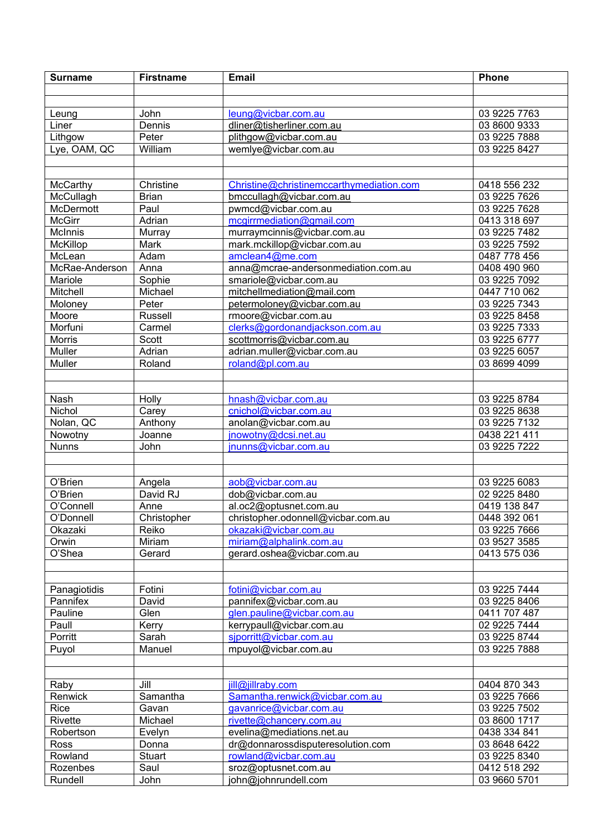| <b>Surname</b> | <b>Firstname</b> | <b>Email</b>                             | <b>Phone</b> |
|----------------|------------------|------------------------------------------|--------------|
|                |                  |                                          |              |
|                |                  |                                          |              |
| Leung          | John             | leung@vicbar.com.au                      | 03 9225 7763 |
| Liner          | Dennis           | dliner@tisherliner.com.au                | 03 8600 9333 |
| Lithgow        | Peter            | plithgow@vicbar.com.au                   | 03 9225 7888 |
| Lye, OAM, QC   | William          | wemlye@vicbar.com.au                     | 03 9225 8427 |
|                |                  |                                          |              |
|                |                  |                                          |              |
| McCarthy       | Christine        | Christine@christinemccarthymediation.com | 0418 556 232 |
| McCullagh      | <b>Brian</b>     | bmccullagh@vicbar.com.au                 | 03 9225 7626 |
| McDermott      | Paul             | pwmcd@vicbar.com.au                      | 03 9225 7628 |
| <b>McGirr</b>  | Adrian           | mcgirrmediation@gmail.com                | 0413 318 697 |
| McInnis        | Murray           | murraymcinnis@vicbar.com.au              | 03 9225 7482 |
| McKillop       | Mark             | mark.mckillop@vicbar.com.au              | 03 9225 7592 |
| McLean         | Adam             | amclean4@me.com                          | 0487 778 456 |
| McRae-Anderson | Anna             | anna@mcrae-andersonmediation.com.au      | 0408 490 960 |
| Mariole        | Sophie           | smariole@vicbar.com.au                   | 03 9225 7092 |
| Mitchell       | Michael          | mitchellmediation@mail.com               | 0447 710 062 |
| Moloney        | Peter            | petermoloney@vicbar.com.au               | 03 9225 7343 |
| Moore          | <b>Russell</b>   | rmoore@vicbar.com.au                     | 03 9225 8458 |
| Morfuni        | Carmel           | clerks@gordonandjackson.com.au           | 03 9225 7333 |
| Morris         | Scott            | scottmorris@vicbar.com.au                | 03 9225 6777 |
| Muller         | Adrian           | adrian.muller@vicbar.com.au              | 03 9225 6057 |
| Muller         | Roland           | roland@pl.com.au                         | 03 8699 4099 |
|                |                  |                                          |              |
|                |                  |                                          |              |
| Nash           | Holly            | hnash@vicbar.com.au                      | 03 9225 8784 |
| Nichol         | Carey            | cnichol@vicbar.com.au                    | 03 9225 8638 |
| Nolan, QC      | Anthony          | anolan@vicbar.com.au                     | 03 9225 7132 |
| Nowotny        | Joanne           | jnowotny@dcsi.net.au                     | 0438 221 411 |
| <b>Nunns</b>   | John             | jnunns@vicbar.com.au                     | 03 9225 7222 |
|                |                  |                                          |              |
|                |                  |                                          |              |
| O'Brien        | Angela           | aob@vicbar.com.au                        | 03 9225 6083 |
| O'Brien        | David RJ         | dob@vicbar.com.au                        | 02 9225 8480 |
| O'Connell      | Anne             | al.oc2@optusnet.com.au                   | 0419 138 847 |
| O'Donnell      | Christopher      | christopher.odonnell@vicbar.com.au       | 0448 392 061 |
| Okazaki        | Reiko            | okazaki@vicbar.com.au                    | 03 9225 7666 |
| Orwin          | Miriam           | miriam@alphalink.com.au                  | 03 9527 3585 |
| O'Shea         | Gerard           | gerard.oshea@vicbar.com.au               | 0413 575 036 |
|                |                  |                                          |              |
| Panagiotidis   | Fotini           | fotini@vicbar.com.au                     | 03 9225 7444 |
| Pannifex       | David            | pannifex@vicbar.com.au                   | 03 9225 8406 |
| Pauline        | Glen             | glen.pauline@vicbar.com.au               | 0411 707 487 |
| Paull          | Kerry            | kerrypaull@vicbar.com.au                 | 02 9225 7444 |
| Porritt        | Sarah            | sjporritt@vicbar.com.au                  | 03 9225 8744 |
| Puyol          | Manuel           | mpuyol@vicbar.com.au                     | 03 9225 7888 |
|                |                  |                                          |              |
|                |                  |                                          |              |
| Raby           | Jill             | jill@jillraby.com                        | 0404 870 343 |
| Renwick        | Samantha         | Samantha.renwick@vicbar.com.au           | 03 9225 7666 |
| Rice           | Gavan            | gavanrice@vicbar.com.au                  | 03 9225 7502 |
| Rivette        | Michael          | rivette@chancery.com.au                  | 03 8600 1717 |
| Robertson      | Evelyn           | evelina@mediations.net.au                | 0438 334 841 |
| Ross           | Donna            | dr@donnarossdisputeresolution.com        | 03 8648 6422 |
| Rowland        | <b>Stuart</b>    | rowland@vicbar.com.au                    | 03 9225 8340 |
| Rozenbes       | Saul             | sroz@optusnet.com.au                     | 0412 518 292 |
| Rundell        | John             | john@johnrundell.com                     | 03 9660 5701 |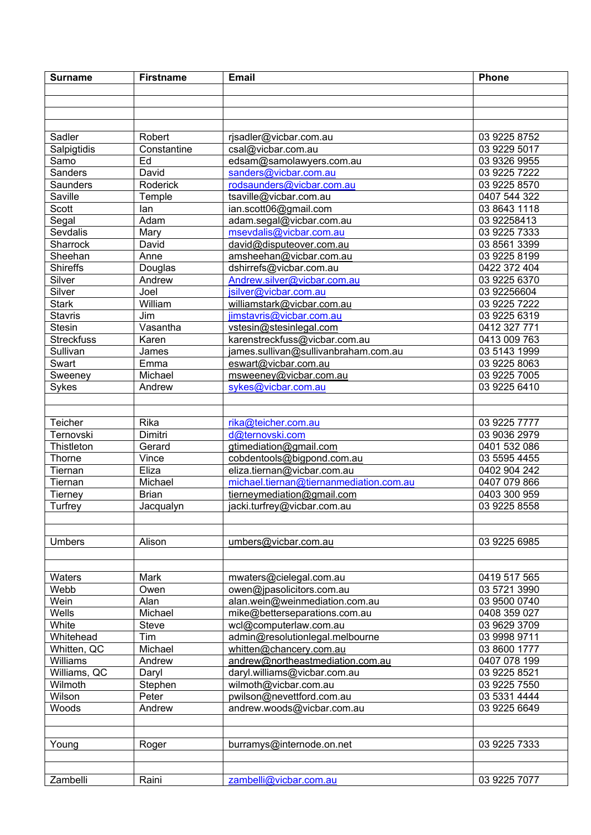| <b>Surname</b>    | <b>Firstname</b> | <b>Email</b>                            | <b>Phone</b> |
|-------------------|------------------|-----------------------------------------|--------------|
|                   |                  |                                         |              |
|                   |                  |                                         |              |
|                   |                  |                                         |              |
|                   |                  |                                         |              |
| Sadler            | Robert           | rjsadler@vicbar.com.au                  | 03 9225 8752 |
| Salpigtidis       | Constantine      | csal@vicbar.com.au                      | 03 9229 5017 |
| Samo              | Ed               | edsam@samolawyers.com.au                | 03 9326 9955 |
| Sanders           | David            | sanders@vicbar.com.au                   | 03 9225 7222 |
| Saunders          | Roderick         | rodsaunders@vicbar.com.au               | 03 9225 8570 |
| Saville           | Temple           | tsaville@vicbar.com.au                  | 0407 544 322 |
| Scott             | lan              | ian.scott06@gmail.com                   | 03 8643 1118 |
| Segal             | Adam             | adam.segal@vicbar.com.au                | 03 92258413  |
| Sevdalis          | Mary             | msevdalis@vicbar.com.au                 | 03 9225 7333 |
| Sharrock          | David            | david@disputeover.com.au                | 03 8561 3399 |
| Sheehan           | Anne             | amsheehan@vicbar.com.au                 | 03 9225 8199 |
| Shireffs          | Douglas          | dshirrefs@vicbar.com.au                 | 0422 372 404 |
| Silver            | Andrew           | Andrew.silver@vicbar.com.au             | 03 9225 6370 |
| Silver            | Joel             | jsilver@vicbar.com.au                   | 03 92256604  |
| <b>Stark</b>      | William          | williamstark@vicbar.com.au              | 03 9225 7222 |
| <b>Stavris</b>    | Jim              | jimstavris@vicbar.com.au                | 03 9225 6319 |
| <b>Stesin</b>     | Vasantha         | vstesin@stesinlegal.com                 | 0412 327 771 |
| <b>Streckfuss</b> | Karen            | karenstreckfuss@vicbar.com.au           | 0413 009 763 |
| Sullivan          | James            | james.sullivan@sullivanbraham.com.au    | 03 5143 1999 |
| Swart             | Emma             | eswart@vicbar.com.au                    | 03 9225 8063 |
| Sweeney           | Michael          | msweeney@vicbar.com.au                  | 03 9225 7005 |
| Sykes             | Andrew           | sykes@vicbar.com.au                     | 03 9225 6410 |
|                   |                  |                                         |              |
|                   |                  |                                         |              |
| Teicher           | Rika             | rika@teicher.com.au                     | 03 9225 7777 |
| Ternovski         | Dimitri          | d@ternovski.com                         | 03 9036 2979 |
| Thistleton        | Gerard           | gtimediation@gmail.com                  | 0401 532 086 |
| Thorne            | Vince            | cobdentools@bigpond.com.au              | 03 5595 4455 |
| Tiernan           | Eliza            | eliza.tiernan@vicbar.com.au             | 0402 904 242 |
| Tiernan           | Michael          | michael.tiernan@tiernanmediation.com.au | 0407 079 866 |
| Tierney           | <b>Brian</b>     | tierneymediation@gmail.com              | 0403 300 959 |
| Turfrey           | Jacqualyn        | jacki.turfrey@vicbar.com.au             | 03 9225 8558 |
|                   |                  |                                         |              |
|                   |                  |                                         |              |
| <b>Umbers</b>     | Alison           | umbers@vicbar.com.au                    | 03 9225 6985 |
|                   |                  |                                         |              |
|                   |                  |                                         |              |
| Waters            | Mark             | mwaters@cielegal.com.au                 | 0419 517 565 |
| Webb              | Owen             | owen@jpasolicitors.com.au               | 03 5721 3990 |
| Wein              | Alan             | alan.wein@weinmediation.com.au          | 03 9500 0740 |
| Wells             | Michael          | mike@betterseparations.com.au           | 0408 359 027 |
| White             | Steve            | wcl@computerlaw.com.au                  | 03 9629 3709 |
| Whitehead         | Tim              | admin@resolutionlegal.melbourne         | 03 9998 9711 |
| Whitten, QC       | Michael          | whitten@chancery.com.au                 | 03 8600 1777 |
| Williams          | Andrew           | andrew@northeastmediation.com.au        | 0407 078 199 |
| Williams, QC      | Daryl            | daryl.williams@vicbar.com.au            | 03 9225 8521 |
| Wilmoth           | Stephen          | wilmoth@vicbar.com.au                   | 03 9225 7550 |
| Wilson            | Peter            | pwilson@nevettford.com.au               | 03 5331 4444 |
| Woods             | Andrew           | andrew.woods@vicbar.com.au              | 03 9225 6649 |
|                   |                  |                                         |              |
|                   |                  |                                         |              |
| Young             | Roger            | burramys@internode.on.net               | 03 9225 7333 |
|                   |                  |                                         |              |
|                   |                  |                                         |              |
| Zambelli          | Raini            | zambelli@vicbar.com.au                  | 03 9225 7077 |